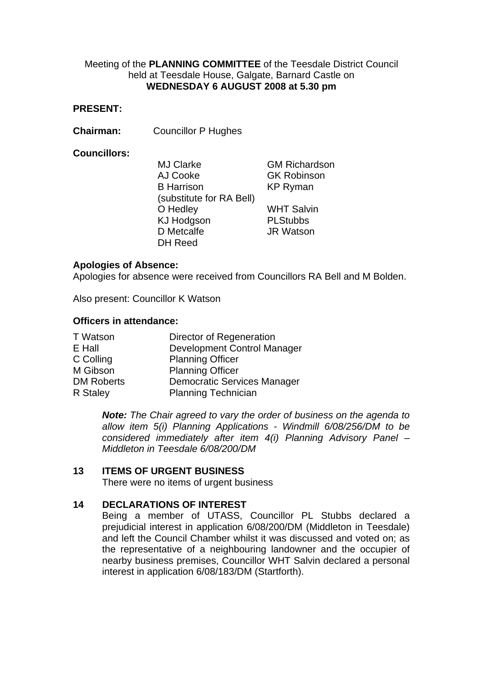## Meeting of the **PLANNING COMMITTEE** of the Teesdale District Council held at Teesdale House, Galgate, Barnard Castle on **WEDNESDAY 6 AUGUST 2008 at 5.30 pm**

### **PRESENT:**

**Chairman:** Councillor P Hughes

### **Councillors:**

MJ Clarke GM Richardson AJ Cooke GK Robinson B Harrison (substitute for RA Bell) O Hedley WHT Salvin KJ Hodgson PLStubbs D Metcalfe **JR Watson** DH Reed

KP Ryman

## **Apologies of Absence:**

Apologies for absence were received from Councillors RA Bell and M Bolden.

Also present: Councillor K Watson

### **Officers in attendance:**

| T Watson          | Director of Regeneration           |  |
|-------------------|------------------------------------|--|
| E Hall            | Development Control Manager        |  |
| C Colling         | <b>Planning Officer</b>            |  |
| M Gibson          | <b>Planning Officer</b>            |  |
| <b>DM Roberts</b> | <b>Democratic Services Manager</b> |  |
| R Staley          | <b>Planning Technician</b>         |  |

 *Note: The Chair agreed to vary the order of business on the agenda to allow item 5(i) Planning Applications - Windmill 6/08/256/DM to be considered immediately after item 4(i) Planning Advisory Panel – Middleton in Teesdale 6/08/200/DM* 

# **13 ITEMS OF URGENT BUSINESS**

There were no items of urgent business

# **14 DECLARATIONS OF INTEREST**

Being a member of UTASS, Councillor PL Stubbs declared a prejudicial interest in application 6/08/200/DM (Middleton in Teesdale) and left the Council Chamber whilst it was discussed and voted on; as the representative of a neighbouring landowner and the occupier of nearby business premises, Councillor WHT Salvin declared a personal interest in application 6/08/183/DM (Startforth).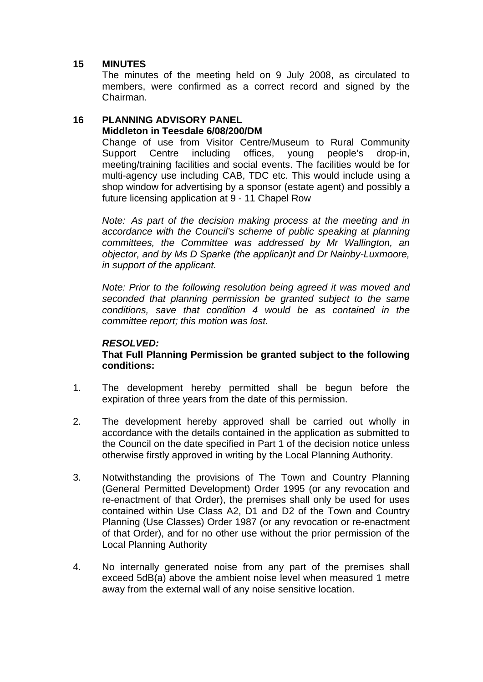# **15 MINUTES**

The minutes of the meeting held on 9 July 2008, as circulated to members, were confirmed as a correct record and signed by the Chairman.

# **16 PLANNING ADVISORY PANEL Middleton in Teesdale 6/08/200/DM**

Change of use from Visitor Centre/Museum to Rural Community Support Centre including offices, young people's drop-in, meeting/training facilities and social events. The facilities would be for multi-agency use including CAB, TDC etc. This would include using a shop window for advertising by a sponsor (estate agent) and possibly a future licensing application at 9 - 11 Chapel Row

*Note: As part of the decision making process at the meeting and in accordance with the Council's scheme of public speaking at planning committees, the Committee was addressed by Mr Wallington, an objector, and by Ms D Sparke (the applican)t and Dr Nainby-Luxmoore, in support of the applicant.* 

*Note: Prior to the following resolution being agreed it was moved and seconded that planning permission be granted subject to the same conditions, save that condition 4 would be as contained in the committee report; this motion was lost.* 

# *RESOLVED:*

## **That Full Planning Permission be granted subject to the following conditions:**

- 1. The development hereby permitted shall be begun before the expiration of three years from the date of this permission.
- 2. The development hereby approved shall be carried out wholly in accordance with the details contained in the application as submitted to the Council on the date specified in Part 1 of the decision notice unless otherwise firstly approved in writing by the Local Planning Authority.
- 3. Notwithstanding the provisions of The Town and Country Planning (General Permitted Development) Order 1995 (or any revocation and re-enactment of that Order), the premises shall only be used for uses contained within Use Class A2, D1 and D2 of the Town and Country Planning (Use Classes) Order 1987 (or any revocation or re-enactment of that Order), and for no other use without the prior permission of the Local Planning Authority
- 4. No internally generated noise from any part of the premises shall exceed 5dB(a) above the ambient noise level when measured 1 metre away from the external wall of any noise sensitive location.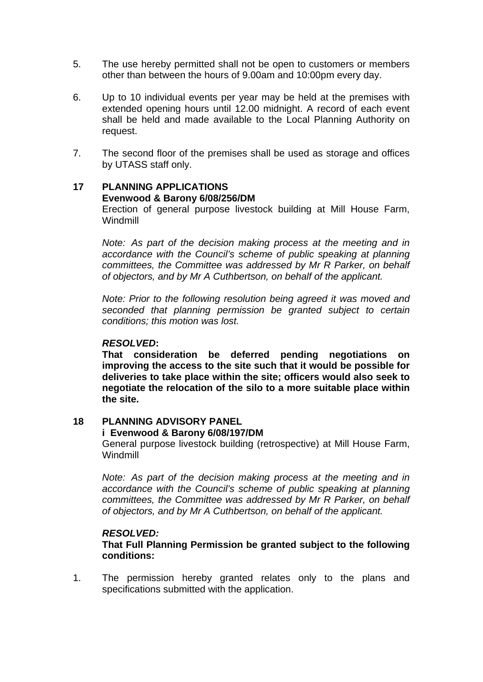- 5. The use hereby permitted shall not be open to customers or members other than between the hours of 9.00am and 10:00pm every day.
- 6. Up to 10 individual events per year may be held at the premises with extended opening hours until 12.00 midnight. A record of each event shall be held and made available to the Local Planning Authority on request.
- 7. The second floor of the premises shall be used as storage and offices by UTASS staff only.

# **17 PLANNING APPLICATIONS**

### **Evenwood & Barony 6/08/256/DM**

 Erection of general purpose livestock building at Mill House Farm, Windmill

*Note: As part of the decision making process at the meeting and in accordance with the Council's scheme of public speaking at planning committees, the Committee was addressed by Mr R Parker, on behalf of objectors, and by Mr A Cuthbertson, on behalf of the applicant.* 

*Note: Prior to the following resolution being agreed it was moved and seconded that planning permission be granted subject to certain conditions; this motion was lost.* 

### *RESOLVED***:**

**That consideration be deferred pending negotiations on improving the access to the site such that it would be possible for deliveries to take place within the site; officers would also seek to negotiate the relocation of the silo to a more suitable place within the site.** 

# **18 PLANNING ADVISORY PANEL**

### **i Evenwood & Barony 6/08/197/DM**

 General purpose livestock building (retrospective) at Mill House Farm, Windmill

*Note: As part of the decision making process at the meeting and in accordance with the Council's scheme of public speaking at planning committees, the Committee was addressed by Mr R Parker, on behalf of objectors, and by Mr A Cuthbertson, on behalf of the applicant.* 

### *RESOLVED:*

**That Full Planning Permission be granted subject to the following conditions:** 

1. The permission hereby granted relates only to the plans and specifications submitted with the application.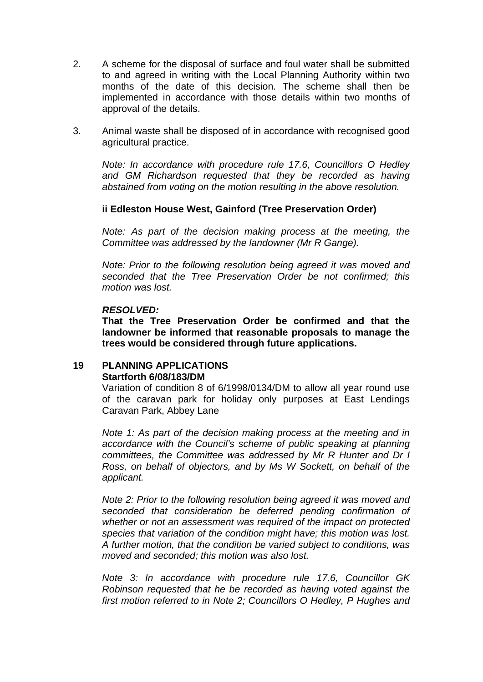- 2. A scheme for the disposal of surface and foul water shall be submitted to and agreed in writing with the Local Planning Authority within two months of the date of this decision. The scheme shall then be implemented in accordance with those details within two months of approval of the details.
- 3. Animal waste shall be disposed of in accordance with recognised good agricultural practice.

*Note: In accordance with procedure rule 17.6, Councillors O Hedley and GM Richardson requested that they be recorded as having abstained from voting on the motion resulting in the above resolution.* 

# **ii Edleston House West, Gainford (Tree Preservation Order)**

*Note: As part of the decision making process at the meeting, the Committee was addressed by the landowner (Mr R Gange).* 

*Note: Prior to the following resolution being agreed it was moved and seconded that the Tree Preservation Order be not confirmed; this motion was lost.* 

### *RESOLVED:*

**That the Tree Preservation Order be confirmed and that the landowner be informed that reasonable proposals to manage the trees would be considered through future applications.** 

# **19 PLANNING APPLICATIONS Startforth 6/08/183/DM**

Variation of condition 8 of 6/1998/0134/DM to allow all year round use of the caravan park for holiday only purposes at East Lendings Caravan Park, Abbey Lane

*Note 1: As part of the decision making process at the meeting and in accordance with the Council's scheme of public speaking at planning committees, the Committee was addressed by Mr R Hunter and Dr I Ross, on behalf of objectors, and by Ms W Sockett, on behalf of the applicant.* 

*Note 2: Prior to the following resolution being agreed it was moved and seconded that consideration be deferred pending confirmation of whether or not an assessment was required of the impact on protected species that variation of the condition might have; this motion was lost. A further motion, that the condition be varied subject to conditions, was moved and seconded; this motion was also lost.* 

*Note 3: In accordance with procedure rule 17.6, Councillor GK Robinson requested that he be recorded as having voted against the first motion referred to in Note 2; Councillors O Hedley, P Hughes and*